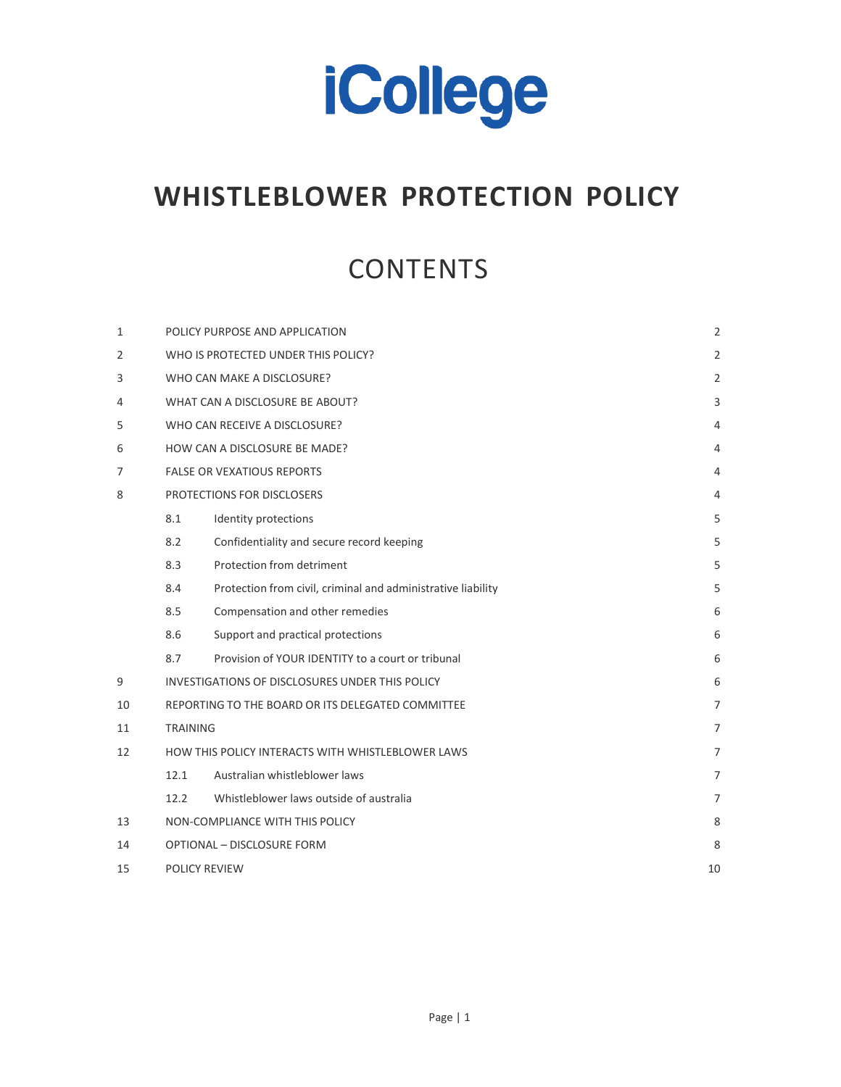

# **WHISTLEBLOWER PROTECTION POLICY**

# **CONTENTS**

| $\mathbf{1}$ |                                                   | POLICY PURPOSE AND APPLICATION                               | $\overline{2}$ |
|--------------|---------------------------------------------------|--------------------------------------------------------------|----------------|
| 2            |                                                   | WHO IS PROTECTED UNDER THIS POLICY?                          | $\overline{2}$ |
| 3            |                                                   | WHO CAN MAKE A DISCLOSURE?                                   | $\overline{2}$ |
| 4            |                                                   | WHAT CAN A DISCLOSURE BE ABOUT?                              | 3              |
| 5            |                                                   | WHO CAN RECEIVE A DISCLOSURE?                                | 4              |
| 6            |                                                   | HOW CAN A DISCLOSURE BE MADE?                                | 4              |
| 7            | <b>FALSE OR VEXATIOUS REPORTS</b>                 |                                                              | 4              |
| 8            |                                                   | PROTECTIONS FOR DISCLOSERS                                   | 4              |
|              | 8.1                                               | Identity protections                                         | 5              |
|              | 8.2                                               | Confidentiality and secure record keeping                    | 5              |
|              | 8.3                                               | Protection from detriment                                    | 5              |
|              | 8.4                                               | Protection from civil, criminal and administrative liability | 5              |
|              | 8.5                                               | Compensation and other remedies                              | 6              |
|              | 8.6                                               | Support and practical protections                            | 6              |
|              | 8.7                                               | Provision of YOUR IDENTITY to a court or tribunal            | 6              |
| 9            |                                                   | INVESTIGATIONS OF DISCLOSURES UNDER THIS POLICY              | 6              |
| 10           | REPORTING TO THE BOARD OR ITS DELEGATED COMMITTEE |                                                              | $\overline{7}$ |
| 11           | <b>TRAINING</b>                                   |                                                              | $\overline{7}$ |
| 12           |                                                   | HOW THIS POLICY INTERACTS WITH WHISTLEBLOWER LAWS            | $\overline{7}$ |
|              | 12.1                                              | Australian whistleblower laws                                | $\overline{7}$ |
|              | 12.2                                              | Whistleblower laws outside of australia                      | $\overline{7}$ |
| 13           | NON-COMPLIANCE WITH THIS POLICY                   |                                                              | 8              |
| 14           |                                                   | <b>OPTIONAL - DISCLOSURE FORM</b>                            | 8              |
| 15           |                                                   | <b>POLICY REVIEW</b>                                         |                |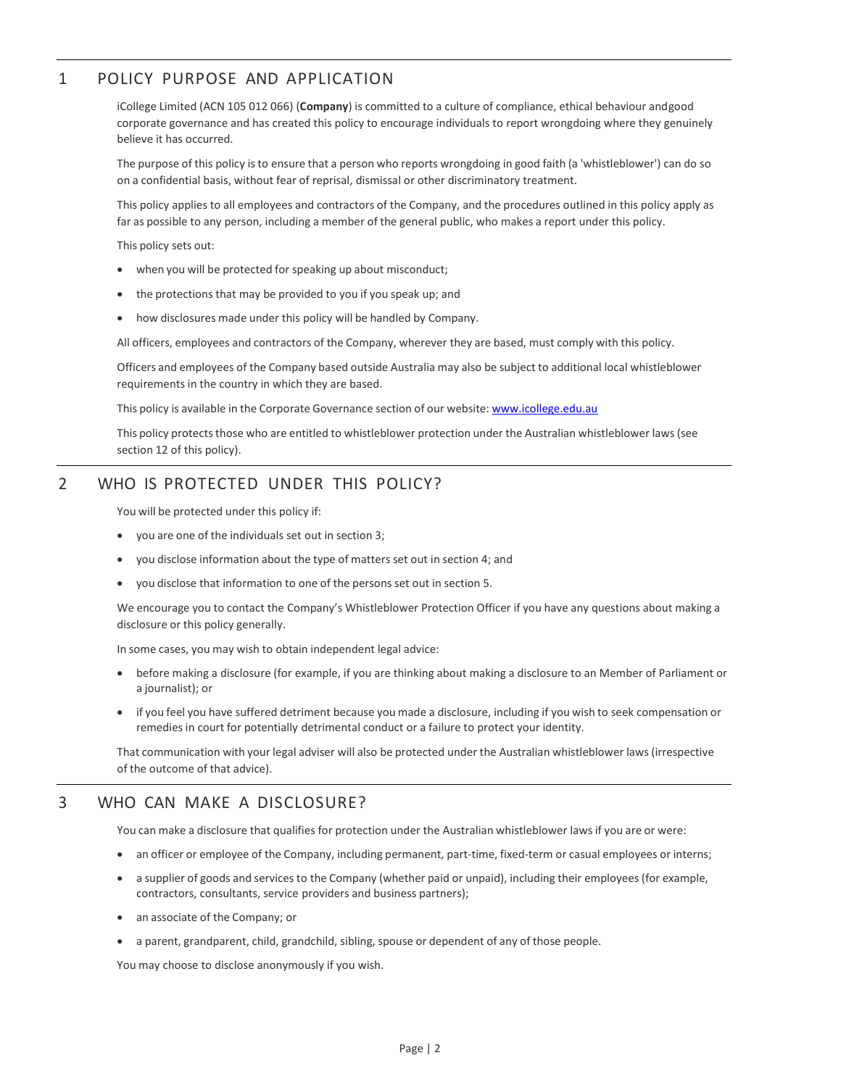# <span id="page-1-0"></span>1 POLICY PURPOSE AND APPLICATION

iCollege Limited (ACN 105 012 066) (**Company**) is committed to a culture of compliance, ethical behaviour and good corporate governance and has created this policy to encourage individuals to report wrongdoing where they genuinely believe it has occurred.

The purpose of this policy isto ensure that a person who reports wrongdoing in good faith (a 'whistleblower') can do so on a confidential basis, without fear of reprisal, dismissal or other discriminatory treatment.

This policy applies to all employees and contractors of the Company, and the procedures outlined in this policy apply as far as possible to any person, including a member of the general public, who makes a report under this policy.

This policy sets out:

- when you will be protected for speaking up about misconduct;
- the protections that may be provided to you if you speak up; and
- how disclosures made under this policy will be handled by Company.

All officers, employees and contractors of the Company, wherever they are based, must comply with this policy.

Officers and employees of the Company based outside Australia may also be subject to additional local whistleblower requirements in the country in which they are based.

This policy is available in the Corporate Governance section of our website: [www.icollege.edu.au](http://www.icollege.edu.au/)

This policy protects those who are entitled to whistleblower protection under the Australian whistleblower laws (see section 12 of this policy).

# <span id="page-1-1"></span>2 WHO IS PROTECTED UNDER THIS POLICY?

You will be protected under this policy if:

- you are one of the individuals set out in section [3;](#page-1-2)
- you disclose information about the type of matters set out in section 4; and
- you disclose that information to one of the persons set out in section 5.

We encourage you to contact the Company's Whistleblower Protection Officer if you have any questions about making a disclosure or this policy generally.

In some cases, you may wish to obtain independent legal advice:

- before making a disclosure (for example, if you are thinking about making a disclosure to an Member of Parliament or a journalist); or
- if you feel you have suffered detriment because you made a disclosure, including if you wish to seek compensation or remedies in court for potentially detrimental conduct or a failure to protect your identity.

That communication with your legal adviser will also be protected under the Australian whistleblower laws (irrespective of the outcome of that advice).

## <span id="page-1-2"></span>3 WHO CAN MAKE A DISCLOSURE?

You can make a disclosure that qualifies for protection under the Australian whistleblower laws if you are or were:

- an officer or employee of the Company, including permanent, part-time, fixed-term or casual employees or interns;
- a supplier of goods and services to the Company (whether paid or unpaid), including their employees (for example, contractors, consultants, service providers and business partners);
- an associate of the Company; or
- a parent, grandparent, child, grandchild, sibling, spouse or dependent of any of those people.

You may choose to disclose anonymously if you wish.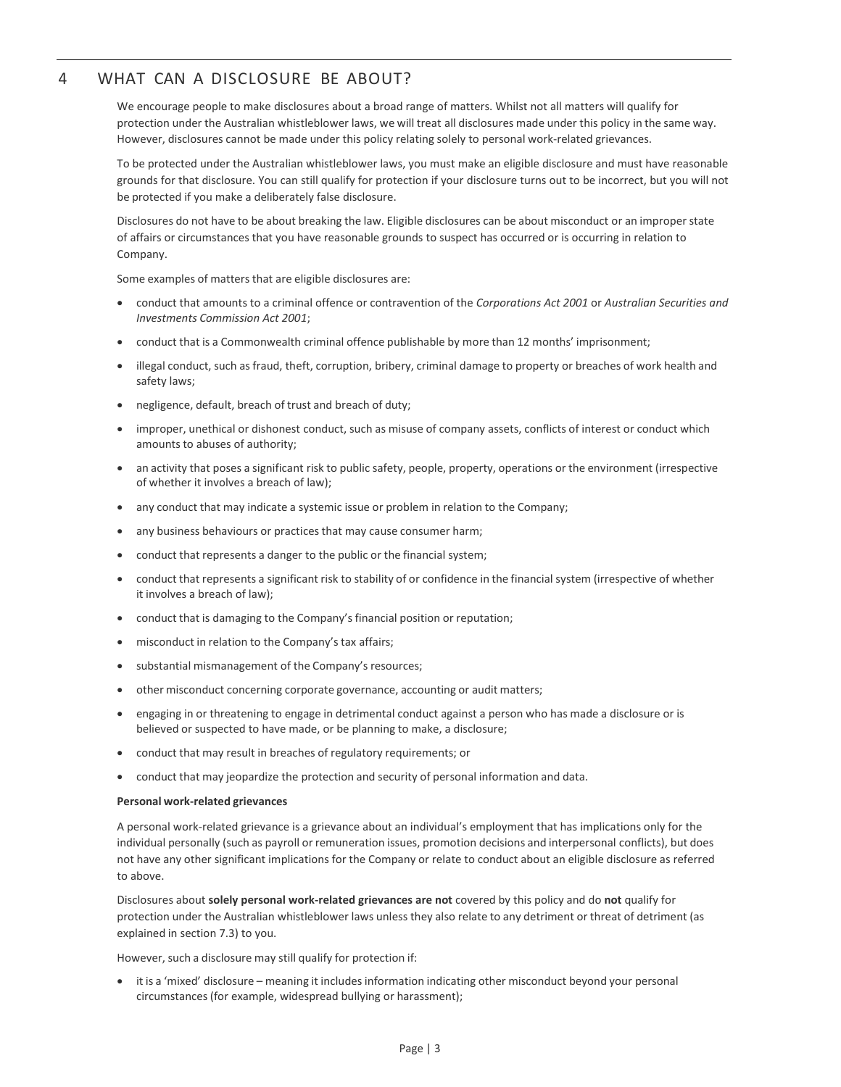# <span id="page-2-0"></span>4 WHAT CAN A DISCLOSURE BE ABOUT?

We encourage people to make disclosures about a broad range of matters. Whilst not all matters will qualify for protection under the Australian whistleblower laws, we will treat all disclosures made under this policy in the same way. However, disclosures cannot be made under this policy relating solely to personal work-related grievances.

To be protected under the Australian whistleblower laws, you must make an eligible disclosure and must have reasonable grounds for that disclosure. You can still qualify for protection if your disclosure turns out to be incorrect, but you will not be protected if you make a deliberately false disclosure.

Disclosures do not have to be about breaking the law. Eligible disclosures can be about misconduct or an improper state of affairs or circumstances that you have reasonable grounds to suspect has occurred or is occurring in relation to Company.

Some examples of matters that are eligible disclosures are:

- conduct that amounts to a criminal offence or contravention of the *Corporations Act 2001* or *Australian Securities and Investments Commission Act 2001*;
- conduct that is a Commonwealth criminal offence publishable by more than 12 months' imprisonment;
- illegal conduct, such as fraud, theft, corruption, bribery, criminal damage to property or breaches of work health and safety laws;
- negligence, default, breach of trust and breach of duty;
- improper, unethical or dishonest conduct, such as misuse of company assets, conflicts of interest or conduct which amounts to abuses of authority;
- an activity that poses a significant risk to public safety, people, property, operations or the environment (irrespective of whether it involves a breach of law);
- any conduct that may indicate a systemic issue or problem in relation to the Company;
- any business behaviours or practices that may cause consumer harm;
- conduct that represents a danger to the public or the financial system;
- conduct that represents a significant risk to stability of or confidence in the financial system (irrespective of whether it involves a breach of law);
- conduct that is damaging to the Company's financial position or reputation;
- misconduct in relation to the Company's tax affairs;
- substantial mismanagement of the Company's resources;
- other misconduct concerning corporate governance, accounting or audit matters;
- engaging in or threatening to engage in detrimental conduct against a person who has made a disclosure or is believed or suspected to have made, or be planning to make, a disclosure;
- conduct that may result in breaches of regulatory requirements; or
- conduct that may jeopardize the protection and security of personal information and data.

#### **Personal work-related grievances**

A personal work-related grievance is a grievance about an individual's employment that has implications only for the individual personally (such as payroll or remuneration issues, promotion decisions and interpersonal conflicts), but does not have any other significant implications for the Company or relate to conduct about an eligible disclosure as referred to above.

Disclosures about **solely personal work-related grievances are not** covered by this policy and do **not** qualify for protection under the Australian whistleblower laws unless they also relate to any detriment or threat of detriment (as explained in section 7.3) to you.

However, such a disclosure may still qualify for protection if:

• it is a 'mixed' disclosure – meaning it includes information indicating other misconduct beyond your personal circumstances (for example, widespread bullying or harassment);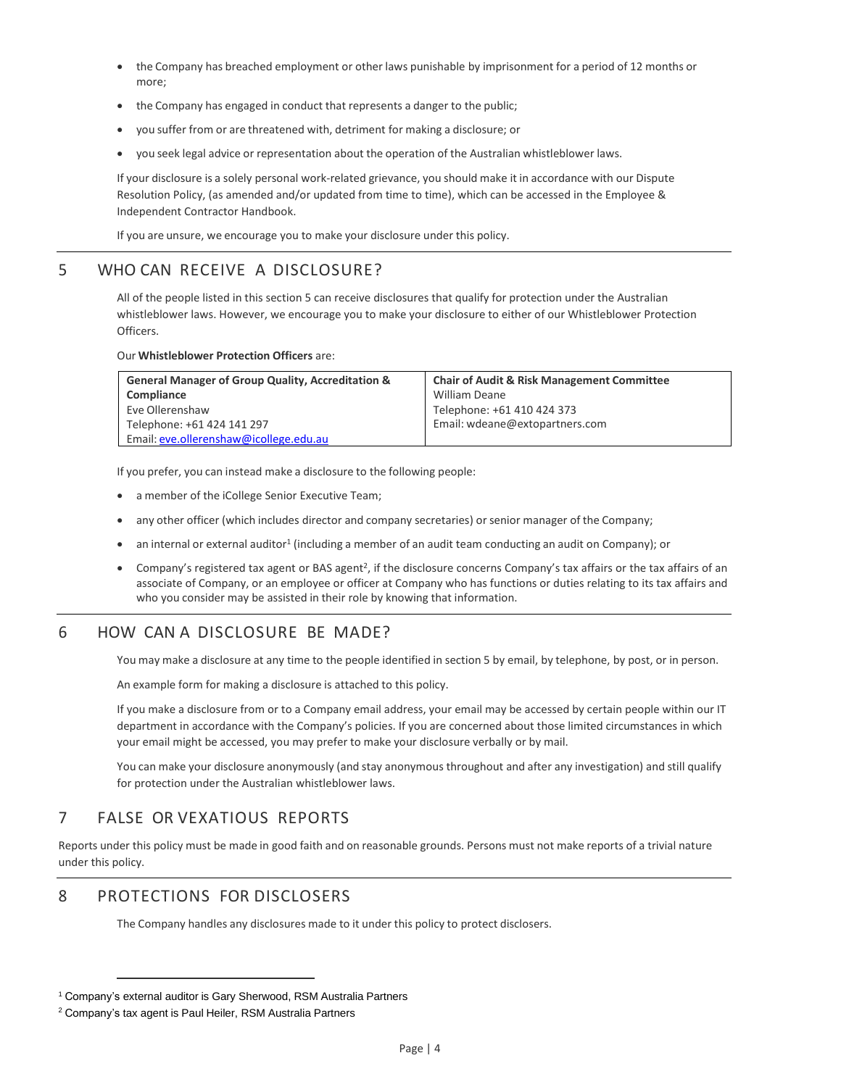- the Company has breached employment or other laws punishable by imprisonment for a period of 12 months or more;
- the Company has engaged in conduct that represents a danger to the public;
- you suffer from or are threatened with, detriment for making a disclosure; or
- you seek legal advice or representation about the operation of the Australian whistleblower laws.

If your disclosure is a solely personal work-related grievance, you should make it in accordance with our Dispute Resolution Policy, (as amended and/or updated from time to time), which can be accessed in the Employee & Independent Contractor Handbook.

If you are unsure, we encourage you to make your disclosure under this policy.

# <span id="page-3-0"></span>5 WHO CAN RECEIVE A DISCLOSURE?

All of the people listed in this section 5 can receive disclosures that qualify for protection under the Australian whistleblower laws. However, we encourage you to make your disclosure to either of our Whistleblower Protection Officers.

#### Our **Whistleblower Protection Officers** are:

| <b>General Manager of Group Quality, Accreditation &amp;</b> | <b>Chair of Audit &amp; Risk Management Committee</b> |
|--------------------------------------------------------------|-------------------------------------------------------|
| Compliance                                                   | William Deane                                         |
| Eve Ollerenshaw                                              | Telephone: +61 410 424 373                            |
| Telephone: +61 424 141 297                                   | Email: wdeane@extopartners.com                        |
| Email: eve.ollerenshaw@icollege.edu.au                       |                                                       |

If you prefer, you can instead make a disclosure to the following people:

- a member of the iCollege Senior Executive Team;
- any other officer (which includes director and company secretaries) or senior manager of the Company;
- an internal or external auditor<sup>1</sup> (including a member of an audit team conducting an audit on Company); or
- Company's registered tax agent or BAS agent<sup>2</sup>, if the disclosure concerns Company's tax affairs or the tax affairs of an associate of Company, or an employee or officer at Company who has functions or duties relating to its tax affairs and who you consider may be assisted in their role by knowing that information.

# <span id="page-3-1"></span>6 HOW CAN A DISCLOSURE BE MADE?

You may make a disclosure at any time to the people identified in section 5 by email, by telephone, by post, or in person.

An example form for making a disclosure is attached to this policy.

If you make a disclosure from or to a Company email address, your email may be accessed by certain people within our IT department in accordance with the Company's policies. If you are concerned about those limited circumstances in which your email might be accessed, you may prefer to make your disclosure verbally or by mail.

You can make your disclosure anonymously (and stay anonymous throughout and after any investigation) and still qualify for protection under the Australian whistleblower laws.

# <span id="page-3-2"></span>7 FALSE OR VEXATIOUS REPORTS

Reports under this policy must be made in good faith and on reasonable grounds. Persons must not make reports of a trivial nature under this policy.

# <span id="page-3-3"></span>8 PROTECTIONS FOR DISCLOSERS

The Company handles any disclosures made to it under this policy to protect disclosers.

<sup>&</sup>lt;sup>1</sup> Company's external auditor is Gary Sherwood, RSM Australia Partners

<sup>&</sup>lt;sup>2</sup> Company's tax agent is Paul Heiler, RSM Australia Partners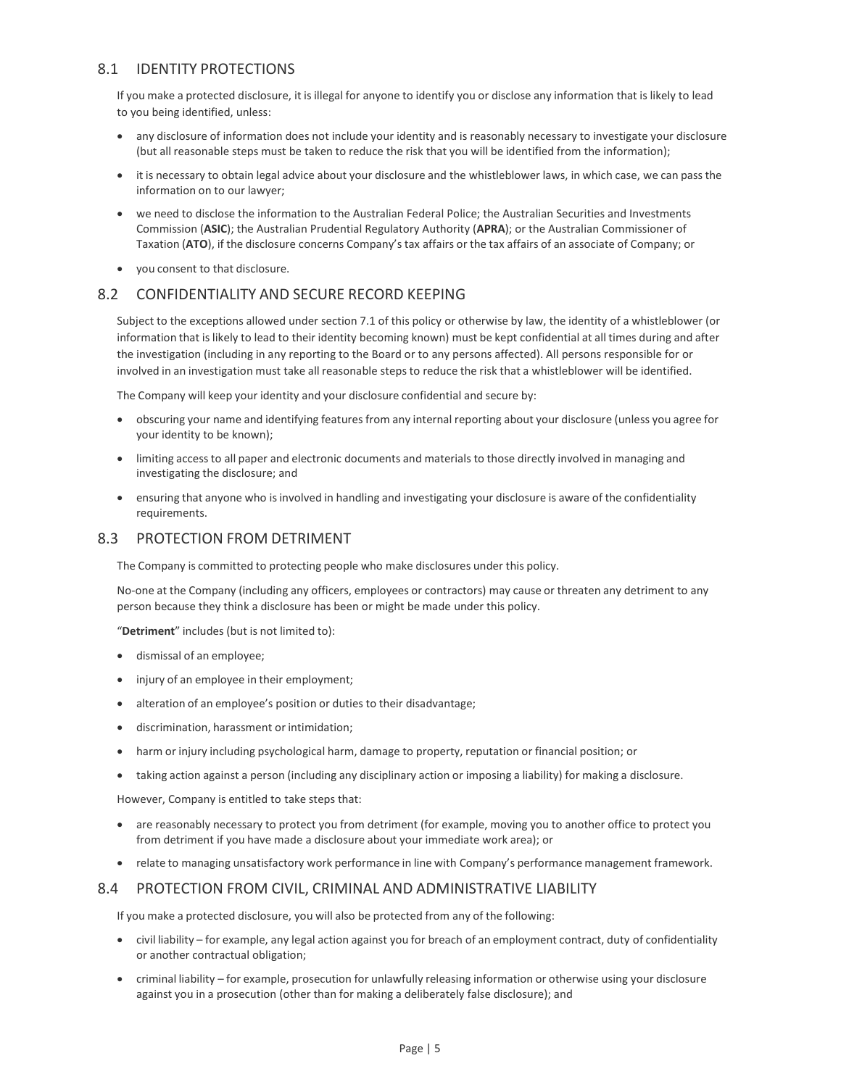## <span id="page-4-0"></span>8.1 IDENTITY PROTECTIONS

If you make a protected disclosure, it is illegal for anyone to identify you or disclose any information that is likely to lead to you being identified, unless:

- any disclosure of information does not include your identity and is reasonably necessary to investigate your disclosure (but all reasonable steps must be taken to reduce the risk that you will be identified from the information);
- it is necessary to obtain legal advice about your disclosure and the whistleblower laws, in which case, we can pass the information on to our lawyer;
- we need to disclose the information to the Australian Federal Police; the Australian Securities and Investments Commission (**ASIC**); the Australian Prudential Regulatory Authority (**APRA**); or the Australian Commissioner of Taxation (**ATO**), if the disclosure concerns Company's tax affairs or the tax affairs of an associate of Company; or
- you consent to that disclosure.

## <span id="page-4-1"></span>8.2 CONFIDENTIALITY AND SECURE RECORD KEEPING

Subject to the exceptions allowed under section 7.1 of this policy or otherwise by law, the identity of a whistleblower (or information that is likely to lead to their identity becoming known) must be kept confidential at all times during and after the investigation (including in any reporting to the Board or to any persons affected). All persons responsible for or involved in an investigation must take all reasonable steps to reduce the risk that a whistleblower will be identified.

The Company will keep your identity and your disclosure confidential and secure by:

- obscuring your name and identifying features from any internal reporting about your disclosure (unless you agree for your identity to be known);
- limiting access to all paper and electronic documents and materials to those directly involved in managing and investigating the disclosure; and
- ensuring that anyone who isinvolved in handling and investigating your disclosure is aware of the confidentiality requirements.

#### <span id="page-4-2"></span>8.3 PROTECTION FROM DETRIMENT

The Company is committed to protecting people who make disclosures under this policy.

No-one at the Company (including any officers, employees or contractors) may cause or threaten any detriment to any person because they think a disclosure has been or might be made under this policy.

"**Detriment**" includes (but is not limited to):

- dismissal of an employee;
- injury of an employee in their employment;
- alteration of an employee's position or duties to their disadvantage;
- discrimination, harassment or intimidation;
- harm or injury including psychological harm, damage to property, reputation or financial position; or
- taking action against a person (including any disciplinary action or imposing a liability) for making a disclosure.

However, Company is entitled to take steps that:

- are reasonably necessary to protect you from detriment (for example, moving you to another office to protect you from detriment if you have made a disclosure about your immediate work area); or
- relate to managing unsatisfactory work performance in line with Company's performance management framework.

#### <span id="page-4-3"></span>8.4 PROTECTION FROM CIVIL, CRIMINAL AND ADMINISTRATIVE LIABILITY

If you make a protected disclosure, you will also be protected from any of the following:

- civil liability for example, any legal action against you for breach of an employment contract, duty of confidentiality or another contractual obligation;
- criminal liability for example, prosecution for unlawfully releasing information or otherwise using your disclosure against you in a prosecution (other than for making a deliberately false disclosure); and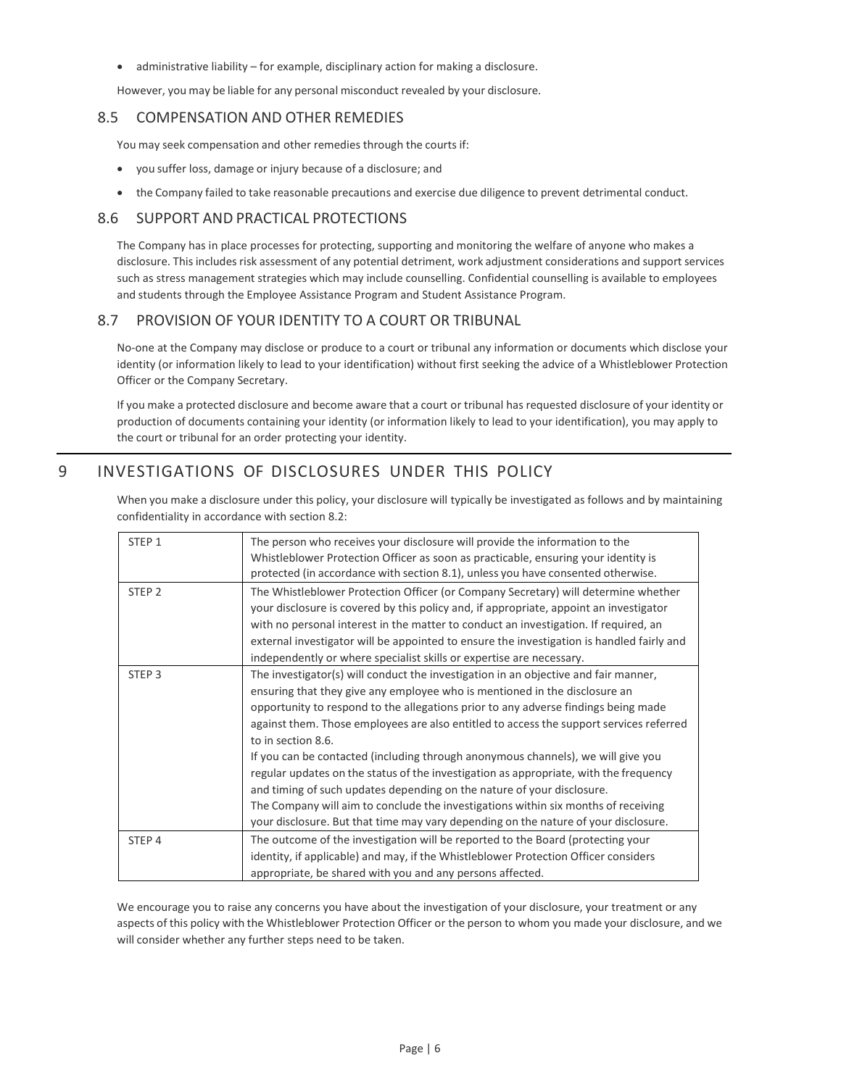• administrative liability – for example, disciplinary action for making a disclosure.

However, you may be liable for any personal misconduct revealed by your disclosure.

## <span id="page-5-0"></span>8.5 COMPENSATION AND OTHER REMEDIES

You may seek compensation and other remedies through the courts if:

- you suffer loss, damage or injury because of a disclosure; and
- the Company failed to take reasonable precautions and exercise due diligence to prevent detrimental conduct.

## <span id="page-5-1"></span>8.6 SUPPORT AND PRACTICAL PROTECTIONS

The Company has in place processes for protecting, supporting and monitoring the welfare of anyone who makes a disclosure. This includes risk assessment of any potential detriment, work adjustment considerations and support services such as stress management strategies which may include counselling. Confidential counselling is available to employees and students through the Employee Assistance Program and Student Assistance Program.

## <span id="page-5-2"></span>8.7 PROVISION OF YOUR IDENTITY TO A COURT OR TRIBUNAL

No-one at the Company may disclose or produce to a court or tribunal any information or documents which disclose your identity (or information likely to lead to your identification) without first seeking the advice of a Whistleblower Protection Officer or the Company Secretary.

If you make a protected disclosure and become aware that a court or tribunal has requested disclosure of your identity or production of documents containing your identity (or information likely to lead to your identification), you may apply to the court or tribunal for an order protecting your identity.

# <span id="page-5-3"></span>9 INVESTIGATIONS OF DISCLOSURES UNDER THIS POLICY

When you make a disclosure under this policy, your disclosure will typically be investigated as follows and by maintaining confidentiality in accordance with section 8.2:

| STEP <sub>1</sub> | The person who receives your disclosure will provide the information to the<br>Whistleblower Protection Officer as soon as practicable, ensuring your identity is<br>protected (in accordance with section 8.1), unless you have consented otherwise.                                                                                                                                                                                                                                                                                                                                                                                                                                                                                                                                                        |
|-------------------|--------------------------------------------------------------------------------------------------------------------------------------------------------------------------------------------------------------------------------------------------------------------------------------------------------------------------------------------------------------------------------------------------------------------------------------------------------------------------------------------------------------------------------------------------------------------------------------------------------------------------------------------------------------------------------------------------------------------------------------------------------------------------------------------------------------|
| STEP <sub>2</sub> | The Whistleblower Protection Officer (or Company Secretary) will determine whether<br>your disclosure is covered by this policy and, if appropriate, appoint an investigator<br>with no personal interest in the matter to conduct an investigation. If required, an<br>external investigator will be appointed to ensure the investigation is handled fairly and<br>independently or where specialist skills or expertise are necessary.                                                                                                                                                                                                                                                                                                                                                                    |
| STEP <sub>3</sub> | The investigator(s) will conduct the investigation in an objective and fair manner,<br>ensuring that they give any employee who is mentioned in the disclosure an<br>opportunity to respond to the allegations prior to any adverse findings being made<br>against them. Those employees are also entitled to access the support services referred<br>to in section 8.6.<br>If you can be contacted (including through anonymous channels), we will give you<br>regular updates on the status of the investigation as appropriate, with the frequency<br>and timing of such updates depending on the nature of your disclosure.<br>The Company will aim to conclude the investigations within six months of receiving<br>your disclosure. But that time may vary depending on the nature of your disclosure. |
| STEP <sub>4</sub> | The outcome of the investigation will be reported to the Board (protecting your<br>identity, if applicable) and may, if the Whistleblower Protection Officer considers<br>appropriate, be shared with you and any persons affected.                                                                                                                                                                                                                                                                                                                                                                                                                                                                                                                                                                          |

We encourage you to raise any concerns you have about the investigation of your disclosure, your treatment or any aspects of this policy with the Whistleblower Protection Officer or the person to whom you made your disclosure, and we will consider whether any further steps need to be taken.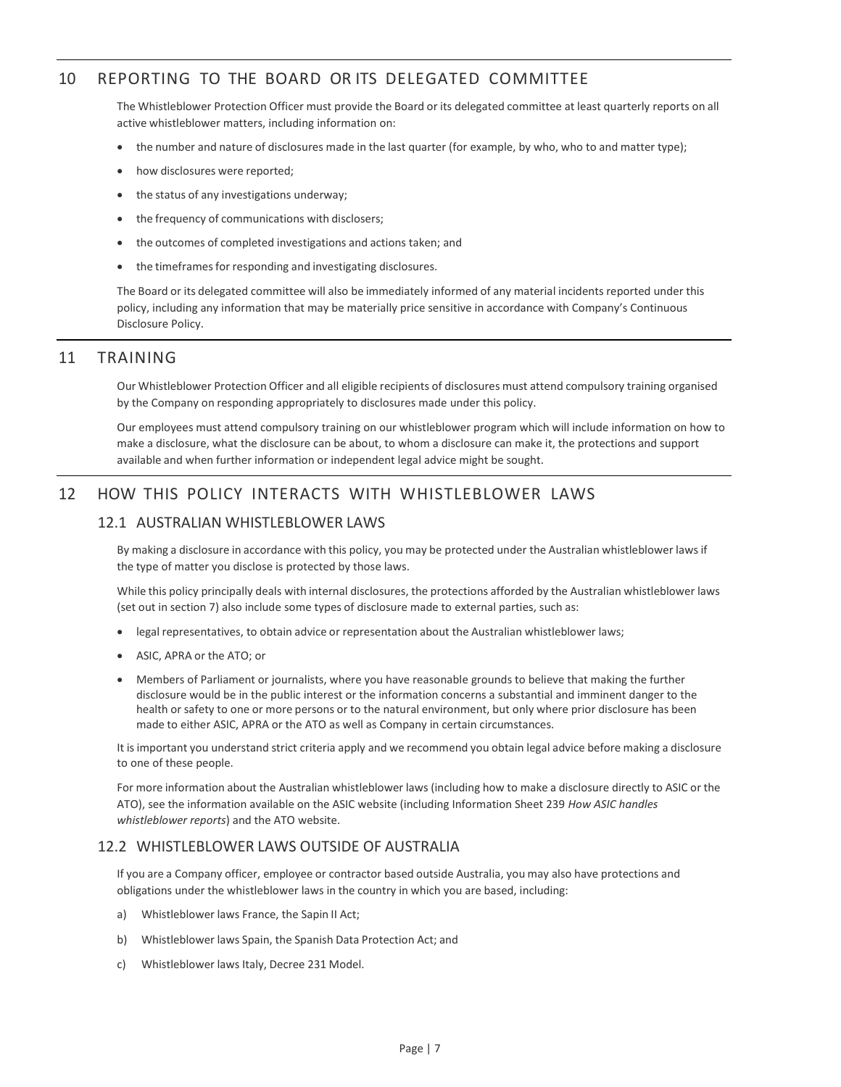# <span id="page-6-0"></span>10 REPORTING TO THE BOARD OR ITS DELEGATED COMMITTEE

The Whistleblower Protection Officer must provide the Board or its delegated committee at least quarterly reports on all active whistleblower matters, including information on:

- the number and nature of disclosures made in the last quarter (for example, by who, who to and matter type);
- how disclosures were reported;
- the status of any investigations underway;
- the frequency of communications with disclosers;
- the outcomes of completed investigations and actions taken; and
- the timeframes for responding and investigating disclosures.

The Board or its delegated committee will also be immediately informed of any material incidents reported under this policy, including any information that may be materially price sensitive in accordance with Company's Continuous Disclosure Policy.

#### <span id="page-6-1"></span>11 TRAINING

Our Whistleblower Protection Officer and all eligible recipients of disclosures must attend compulsory training organised by the Company on responding appropriately to disclosures made under this policy.

Our employees must attend compulsory training on our whistleblower program which will include information on how to make a disclosure, what the disclosure can be about, to whom a disclosure can make it, the protections and support available and when further information or independent legal advice might be sought.

## <span id="page-6-3"></span><span id="page-6-2"></span>12 HOW THIS POLICY INTERACTS WITH WHISTLEBLOWER LAWS

### 12.1 AUSTRALIAN WHISTLEBLOWER LAWS

By making a disclosure in accordance with this policy, you may be protected under the Australian whistleblower laws if the type of matter you disclose is protected by those laws.

While this policy principally deals with internal disclosures, the protections afforded by the Australian whistleblower laws (set out in section 7) also include some types of disclosure made to external parties, such as:

- legal representatives, to obtain advice or representation about the Australian whistleblower laws;
- ASIC, APRA or the ATO; or
- Members of Parliament or journalists, where you have reasonable grounds to believe that making the further disclosure would be in the public interest or the information concerns a substantial and imminent danger to the health or safety to one or more persons or to the natural environment, but only where prior disclosure has been made to either ASIC, APRA or the ATO as well as Company in certain circumstances.

It is important you understand strict criteria apply and we recommend you obtain legal advice before making a disclosure to one of these people.

For more information about the Australian whistleblower laws (including how to make a disclosure directly to ASIC or the ATO), see the information available on the ASIC website (including Information Sheet 239 *How ASIC handles whistleblower reports*) and the ATO website.

## <span id="page-6-4"></span>12.2 WHISTLEBLOWER LAWS OUTSIDE OF AUSTRALIA

If you are a Company officer, employee or contractor based outside Australia, you may also have protections and obligations under the whistleblower laws in the country in which you are based, including:

- a) Whistleblower laws France, the Sapin II Act;
- b) Whistleblower laws Spain, the Spanish Data Protection Act; and
- c) Whistleblower laws Italy, Decree 231 Model.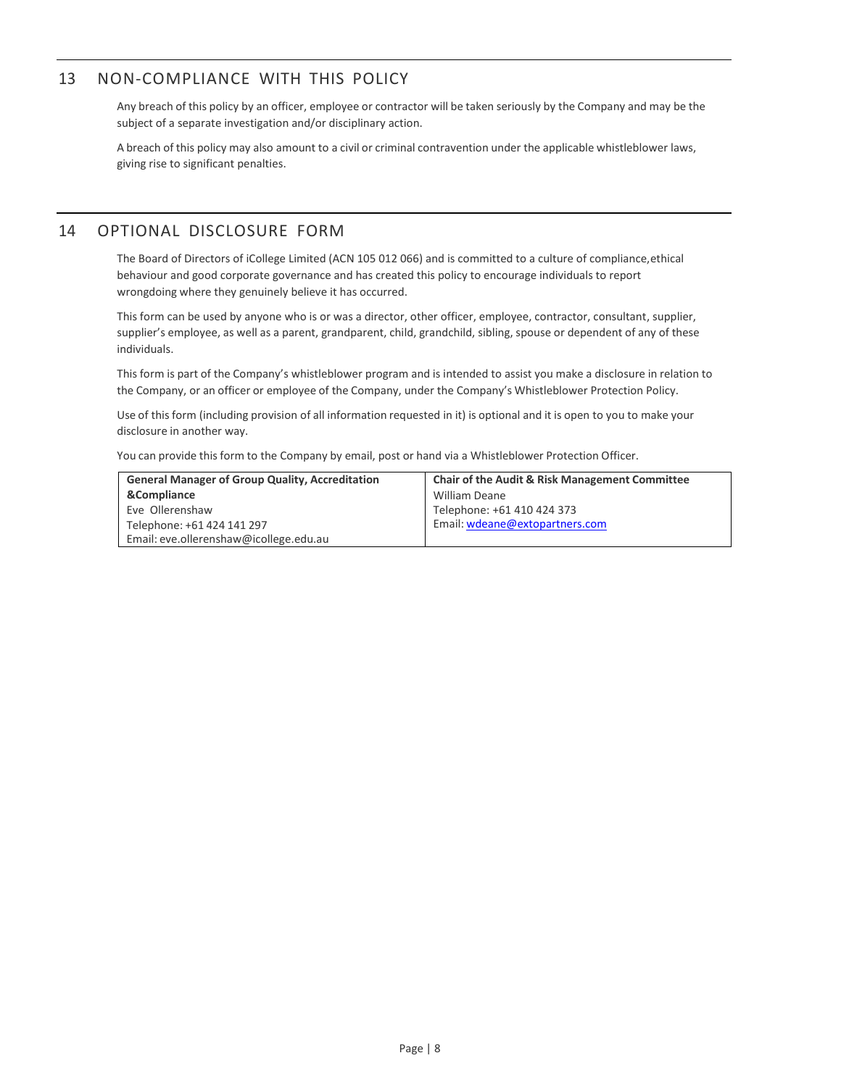# <span id="page-7-0"></span>13 NON-COMPLIANCE WITH THIS POLICY

Any breach of this policy by an officer, employee or contractor will be taken seriously by the Company and may be the subject of a separate investigation and/or disciplinary action.

A breach of this policy may also amount to a civil or criminal contravention under the applicable whistleblower laws, giving rise to significant penalties.

## <span id="page-7-1"></span>14 OPTIONAL DISCLOSURE FORM

The Board of Directors of iCollege Limited (ACN 105 012 066) and is committed to a culture of compliance,ethical behaviour and good corporate governance and has created this policy to encourage individuals to report wrongdoing where they genuinely believe it has occurred.

This form can be used by anyone who is or was a director, other officer, employee, contractor, consultant, supplier, supplier's employee, as well as a parent, grandparent, child, grandchild, sibling, spouse or dependent of any of these individuals.

This form is part of the Company's whistleblower program and is intended to assist you make a disclosure in relation to the Company, or an officer or employee of the Company, under the Company's Whistleblower Protection Policy.

Use of this form (including provision of all information requested in it) is optional and it is open to you to make your disclosure in another way.

You can provide this form to the Company by email, post or hand via a Whistleblower Protection Officer.

| <b>General Manager of Group Quality, Accreditation</b> | <b>Chair of the Audit &amp; Risk Management Committee</b> |
|--------------------------------------------------------|-----------------------------------------------------------|
| &Compliance                                            | <b>William Deane</b>                                      |
| Eve Ollerenshaw                                        | Telephone: +61 410 424 373                                |
| Telephone: +61 424 141 297                             | Email: wdeane@extopartners.com                            |
| Email: eve.ollerenshaw@icollege.edu.au                 |                                                           |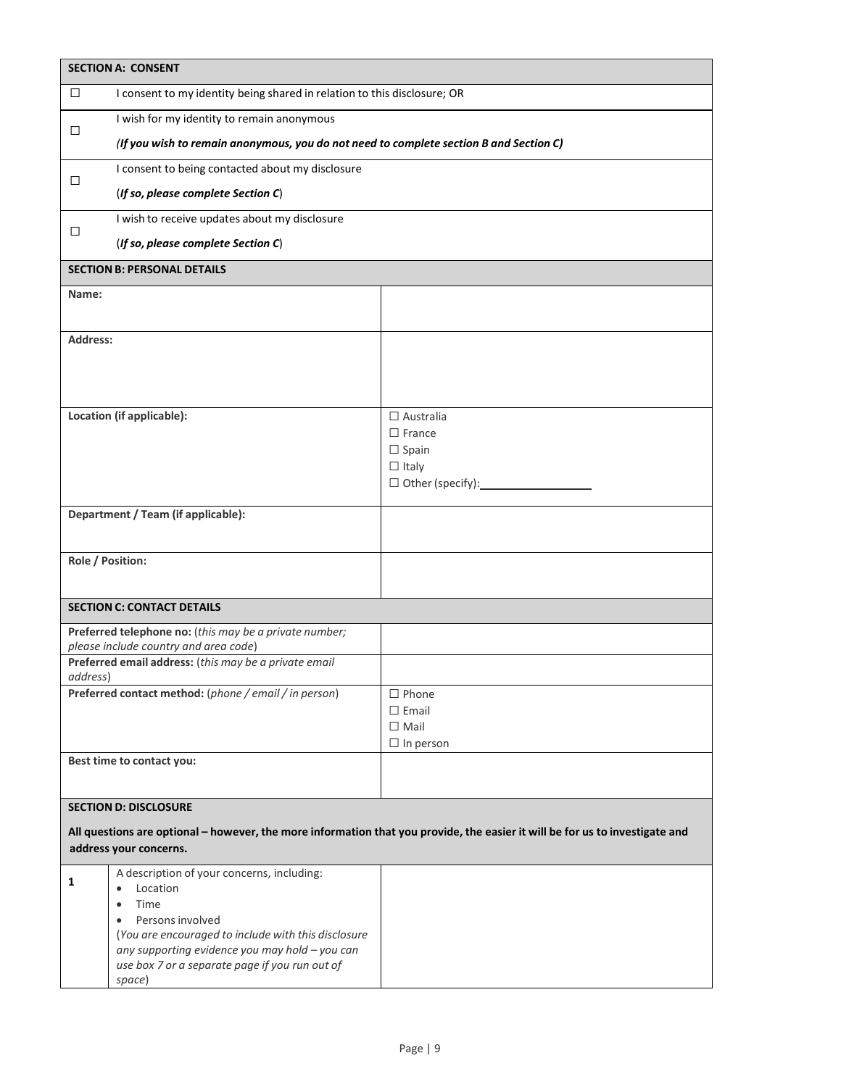| <b>SECTION A: CONSENT</b>                                                                                                    |                                                                                                  |                                  |  |  |  |
|------------------------------------------------------------------------------------------------------------------------------|--------------------------------------------------------------------------------------------------|----------------------------------|--|--|--|
| $\Box$                                                                                                                       | I consent to my identity being shared in relation to this disclosure; OR                         |                                  |  |  |  |
| □                                                                                                                            | I wish for my identity to remain anonymous                                                       |                                  |  |  |  |
|                                                                                                                              | (If you wish to remain anonymous, you do not need to complete section B and Section C)           |                                  |  |  |  |
| □                                                                                                                            | I consent to being contacted about my disclosure                                                 |                                  |  |  |  |
|                                                                                                                              | (If so, please complete Section C)                                                               |                                  |  |  |  |
| □                                                                                                                            | I wish to receive updates about my disclosure                                                    |                                  |  |  |  |
|                                                                                                                              |                                                                                                  |                                  |  |  |  |
|                                                                                                                              | <b>SECTION B: PERSONAL DETAILS</b>                                                               |                                  |  |  |  |
| Name:                                                                                                                        |                                                                                                  |                                  |  |  |  |
|                                                                                                                              |                                                                                                  |                                  |  |  |  |
| Address:                                                                                                                     |                                                                                                  |                                  |  |  |  |
|                                                                                                                              |                                                                                                  |                                  |  |  |  |
|                                                                                                                              |                                                                                                  |                                  |  |  |  |
| Location (if applicable):                                                                                                    |                                                                                                  | $\Box$ Australia                 |  |  |  |
|                                                                                                                              |                                                                                                  | $\Box$ France<br>$\square$ Spain |  |  |  |
|                                                                                                                              |                                                                                                  | $\Box$ Italy                     |  |  |  |
|                                                                                                                              |                                                                                                  |                                  |  |  |  |
|                                                                                                                              | Department / Team (if applicable):                                                               |                                  |  |  |  |
|                                                                                                                              |                                                                                                  |                                  |  |  |  |
|                                                                                                                              | Role / Position:                                                                                 |                                  |  |  |  |
|                                                                                                                              |                                                                                                  |                                  |  |  |  |
|                                                                                                                              | <b>SECTION C: CONTACT DETAILS</b>                                                                |                                  |  |  |  |
| Preferred telephone no: (this may be a private number;<br>please include country and area code)                              |                                                                                                  |                                  |  |  |  |
| Preferred email address: (this may be a private email<br>address)                                                            |                                                                                                  |                                  |  |  |  |
|                                                                                                                              | Preferred contact method: (phone / email / in person)                                            | $\Box$ Phone                     |  |  |  |
|                                                                                                                              |                                                                                                  | $\Box$ Email                     |  |  |  |
|                                                                                                                              |                                                                                                  | $\Box$ Mail                      |  |  |  |
| Best time to contact you:                                                                                                    |                                                                                                  | $\Box$ In person                 |  |  |  |
|                                                                                                                              |                                                                                                  |                                  |  |  |  |
|                                                                                                                              | <b>SECTION D: DISCLOSURE</b>                                                                     |                                  |  |  |  |
| All questions are optional - however, the more information that you provide, the easier it will be for us to investigate and |                                                                                                  |                                  |  |  |  |
| address your concerns.                                                                                                       |                                                                                                  |                                  |  |  |  |
| 1                                                                                                                            | A description of your concerns, including:<br>Location<br>$\bullet$                              |                                  |  |  |  |
|                                                                                                                              | Time<br>٠                                                                                        |                                  |  |  |  |
|                                                                                                                              | Persons involved<br>$\bullet$                                                                    |                                  |  |  |  |
|                                                                                                                              | (You are encouraged to include with this disclosure                                              |                                  |  |  |  |
|                                                                                                                              | any supporting evidence you may hold - you can<br>use box 7 or a separate page if you run out of |                                  |  |  |  |
|                                                                                                                              | space)                                                                                           |                                  |  |  |  |